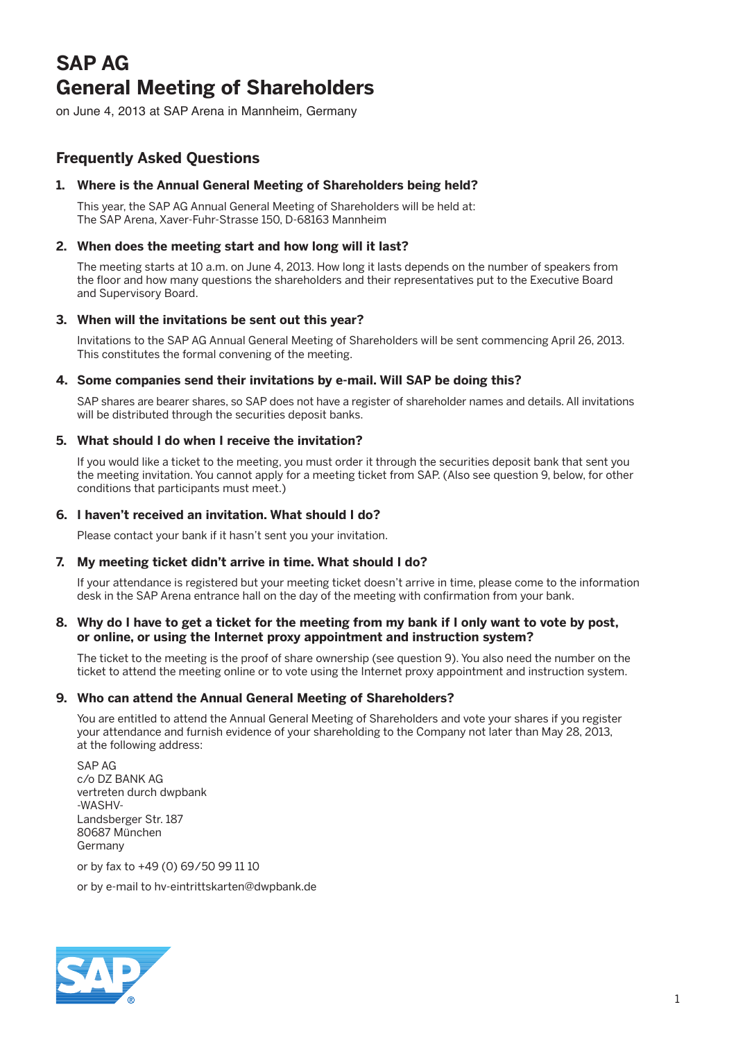# **SAP AG General Meeting of Shareholders**

on June 4, 2013 at SAP Arena in Mannheim, Germany

# **Frequently Asked Questions**

# **1. Where is the Annual General Meeting of Shareholders being held?**

 This year, the SAP AG Annual General Meeting of Shareholders will be held at: The SAP Arena, Xaver-Fuhr-Strasse 150, D-68163 Mannheim

# **2. When does the meeting start and how long will it last?**

 The meeting starts at 10 a.m. on June 4, 2013. How long it lasts depends on the number of speakers from the floor and how many questions the shareholders and their representatives put to the Executive Board and Supervisory Board.

# **3. When will the invitations be sent out this year?**

 Invitations to the SAP AG Annual General Meeting of Shareholders will be sent commencing April 26, 2013. This constitutes the formal convening of the meeting.

# **4. Some companies send their invitations by e-mail. Will SAP be doing this?**

 SAP shares are bearer shares, so SAP does not have a register of shareholder names and details. All invitations will be distributed through the securities deposit banks.

# **5. What should I do when I receive the invitation?**

 If you would like a ticket to the meeting, you must order it through the securities deposit bank that sent you the meeting invitation. You cannot apply for a meeting ticket from SAP. (Also see question 9, below, for other conditions that participants must meet.)

# **6. I haven't received an invitation. What should I do?**

Please contact your bank if it hasn't sent you your invitation.

# **7. My meeting ticket didn't arrive in time. What should I do?**

 If your attendance is registered but your meeting ticket doesn't arrive in time, please come to the information desk in the SAP Arena entrance hall on the day of the meeting with confirmation from your bank.

#### **8. Why do I have to get a ticket for the meeting from my bank if I only want to vote by post, or online, or using the Internet proxy appointment and instruction system?**

 The ticket to the meeting is the proof of share ownership (see question 9). You also need the number on the ticket to attend the meeting online or to vote using the Internet proxy appointment and instruction system.

# **9. Who can attend the Annual General Meeting of Shareholders?**

 You are entitled to attend the Annual General Meeting of Shareholders and vote your shares if you register your attendance and furnish evidence of your shareholding to the Company not later than May 28, 2013, at the following address:

 SAP AG c/o DZ BANK AG vertreten durch dwpbank -WASHV-Landsberger Str. 187 80687 München Germany

or by fax to +49 (0) 69/50 99 11 10

or by e-mail to hv-eintrittskarten@dwpbank.de

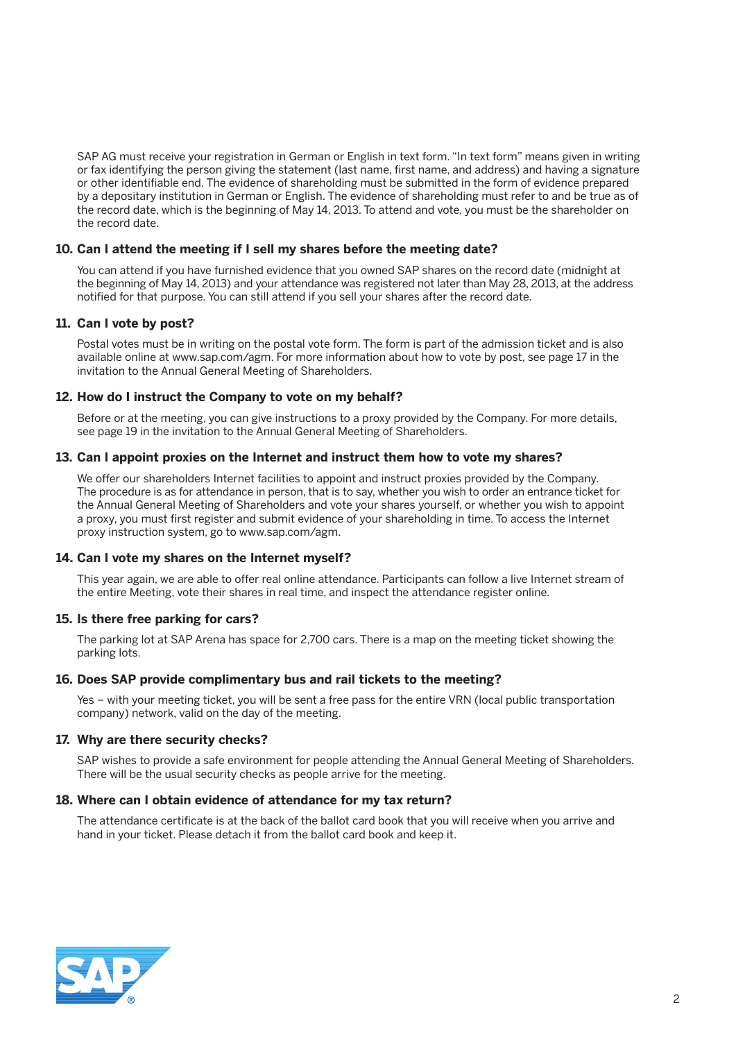SAP AG must receive your registration in German or English in text form. "In text form" means given in writing or fax identifying the person giving the statement (last name, first name, and address) and having a signature or other identifiable end. The evidence of shareholding must be submitted in the form of evidence prepared by a depositary institution in German or English. The evidence of shareholding must refer to and be true as of the record date, which is the beginning of May 14, 2013. To attend and vote, you must be the shareholder on the record date.

#### **10. Can I attend the meeting if I sell my shares before the meeting date?**

 You can attend if you have furnished evidence that you owned SAP shares on the record date (midnight at the beginning of May 14, 2013) and your attendance was registered not later than May 28, 2013, at the address notified for that purpose. You can still attend if you sell your shares after the record date.

#### **11. Can I vote by post?**

 Postal votes must be in writing on the postal vote form. The form is part of the admission ticket and is also available online at www.sap.com/agm. For more information about how to vote by post, see page 17 in the invitation to the Annual General Meeting of Shareholders.

#### **12. How do I instruct the Company to vote on my behalf?**

 Before or at the meeting, you can give instructions to a proxy provided by the Company. For more details, see page 19 in the invitation to the Annual General Meeting of Shareholders.

#### **13. Can I appoint proxies on the Internet and instruct them how to vote my shares?**

 We offer our shareholders Internet facilities to appoint and instruct proxies provided by the Company. The procedure is as for attendance in person, that is to say, whether you wish to order an entrance ticket for the Annual General Meeting of Shareholders and vote your shares yourself, or whether you wish to appoint a proxy, you must first register and submit evidence of your shareholding in time. To access the Internet proxy instruction system, go to www.sap.com/agm.

#### **14. Can I vote my shares on the Internet myself?**

 This year again, we are able to offer real online attendance. Participants can follow a live Internet stream of the entire Meeting, vote their shares in real time, and inspect the attendance register online.

#### **15. Is there free parking for cars?**

 The parking lot at SAP Arena has space for 2,700 cars. There is a map on the meeting ticket showing the parking lots.

#### **16. Does SAP provide complimentary bus and rail tickets to the meeting?**

 Yes – with your meeting ticket, you will be sent a free pass for the entire VRN (local public transportation company) network, valid on the day of the meeting.

#### **17. Why are there security checks?**

 SAP wishes to provide a safe environment for people attending the Annual General Meeting of Shareholders. There will be the usual security checks as people arrive for the meeting.

#### **18. Where can I obtain evidence of attendance for my tax return?**

 The attendance certificate is at the back of the ballot card book that you will receive when you arrive and hand in your ticket. Please detach it from the ballot card book and keep it.